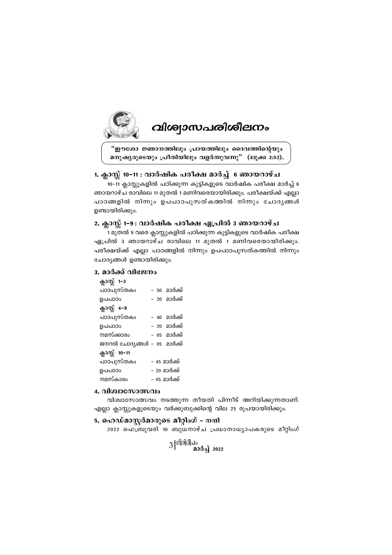

# *വിശ്വാസപരിശീലനം*

"ഈശോ ജ്ഞാനത്തിലും പ്രായത്തിലും ദൈവത്തിന്റെയും *മ*നുഷൃരുടെയും പ്രീതിയിലും വളർന്നുവന്നു" (ലൂക്ക 2:52).

# 1. ക്ലാസ്സ് 10−11 : വാർഷിക പരീക്ഷ മാർച്ച് 6 ഞായറാഴ്ച

.<br>10−11 ക്ലാസ്സുകളിൽ പഠിക്കുന്ന കുട്ടികളുടെ വാർഷിക പരീക്ഷ മാർച്ച് 6 ഞായറാഴ്ച രാവിലെ 11 മുതൽ 1 മണിവരെയായിരിക്കും. പരീക്ഷയ്ക്ക് എല്ലാ പാഠങ്ങളിൽ നിന്നും ഉപപാഠപുസത്കത്തിൽ നിന്നും ചോദൃങ്ങൾ ഉണ്ടായിരിക്കും.

# 2. ക്ലാസ്സ് 1<del>-</del>9 : വാർഷിക പരീക്ഷ ഏപ്രിൽ 3 ഞായറാഴ്ച

1 മുതൽ 9 വരെ ക്ലാസ്സുകളിൽ പഠിക്കുന്ന കുട്ടികളുടെ വാർഷിക പരീക്ഷ  $q_{\rm B}$ പ്രിൽ 3 ഞായറാഴ്ച രാവിലെ 11 മുതൽ 1 മണിവരെയായിരിക്കും. പരീക്ഷയ്ക്ക് എല്ലാ പാഠങ്ങളിൽ നിന്നും ഉപപാഠപുസത്കത്തിൽ നിന്നും ചോദ്യങ്ങൾ ഉണ്ടായിരിക്കും.

# 3. മാർക്ക് വിഭജനം

|  | – 50 മാർക്ക്                |
|--|-----------------------------|
|  | – 20 മാർക്ക്                |
|  |                             |
|  | – 40 മാർക്ക്                |
|  | – 20 മാർക്ക്                |
|  | – 05 മാർക്ക്                |
|  | ജനറൽ ചോദ്യങ്ങൾ – 05 മാർക്ക് |
|  |                             |
|  | – 45 മാർക്ക്                |
|  | – 20 മാർക്ക്                |
|  | – 05 മാർക്ക്                |
|  |                             |

# *4. hnizmtkm'hw*

 $n$ ിശ്വാസോത്സവം നടത്തുന്ന തീയതി പിന്നീട് അറിയിക്കുന്നതാണ്. എല്ലാ ക്ലാസ്സുകളുടെയും വർക്കുബുക്കിന്റെ വില 25 രൂപയായിരിക്കും.

# 5. ഹെഡ്മാസ്റ്റർമാരുടെ മീറ്റിംഗ് *-* നന്ദി

 $2022$  ഫെബ്രുവരി 10 ബുധനാഴ്ച പ്രധാനാധ്യാപകരുടെ മീറ്റിംഗ്

3 |<sup>ഗിരിദീപം</sup><br>മാർച്ച് 2022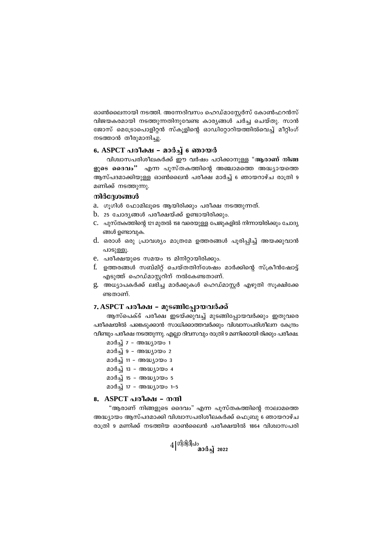ഓൺലൈനായി നടത്തി. അന്നേദിവസം ഹെഡ്മാസ്കേർസ് കോൺഫറൻസ് വിജയകരമായി നടത്തുന്നതിനുവേണ്ട കാര്യങ്ങൾ ചർച്ച ചെയ്തു. സാൻ ജോസ് മെട്രോപൊളിറ്റൻ സ്കൂളിന്റെ ഓഡിറ്റോറിയത്തിൽവെച്ച് മീറ്റിംഗ് നടത്താൻ തീരുമാനിച്ചു.

# 6. ASPCT പരീക്ഷ - മാർച്ച് 6 ഞായർ

വിശ്വാസപരിശീലകർക്ക് ഈ വർഷം പഠിക്കാനുള്ള "ആരാണ് നിങ്ങ ളുടെ ദൈവം" എന്ന പുസ്തകത്തിന്റെ അഞ്ചാമത്തെ അദ്ധ്യായത്തെ ആസ്പദമാക്കിയുള്ള ഓൺലൈൻ പരീക്ഷ മാർച്ച് 6 ഞായറാഴ്ച രാത്രി 9 മണിക്ക് നടത്തുന്നു.

## നിർദ്ദേശങ്ങൾ

- a. ഗുഗിൾ ഫോമിലൂടെ ആയിരിക്കും പരീക്ഷ നടത്തുന്നത്.
- $b$ . 25 ചോദൃങ്ങൾ പരീക്ഷയ്ക്ക് ഉണ്ടായിരിക്കും.
- $C.$  പുസ്തകത്തിന്റെ 121 മുതൽ 158 വരെയുള്ള പേജുകളിൽ നിന്നായിരിക്കും ചോദ്യ ങ്ങൾ ഉണ്ടാവുക.
- d. ഒരാൾ ഒരു പ്രാവശ്യം മാത്രമേ ഉത്തരങ്ങൾ പൂരിപ്പിച്ച് അയക്കുവാൻ പാടുള്ളൂ.
- e. പരീക്ഷയുടെ സമയം 15 മിനിറ്റായിരിക്കും.
- f. ഉത്തരങ്ങൾ സബ്മിറ്റ് ചെയ്തതിന്ശേഷം മാർക്കിന്റെ സ്ക്രീൻഷോട്ട് എടുത്ത് ഹെഡ്മാസ്റ്ററിന് നൽകേണ്ടതാണ്.
- g. അധ്യാപകർക്ക് ലഭിച്ച മാർക്കുകൾ ഹെഡ്മാസ്റ്റർ എഴുതി സുക്ഷിക്കേ ണ്ടതാണ്.

## 7. ASPCT പരീക്ഷ - മുടങ്ങിപ്പോയവർക്ക്

ആസ്പെക്ട് പരീക്ഷ ഇടയ്ക്കുവച്ച് മുടങ്ങിപ്പോയവർക്കും ഇതുവരെ പരീക്ഷയിൽ പങ്കെടുക്കാൻ സാധിക്കാത്തവർക്കും വിശ്വാസപരിശീലന കേന്ദ്രം വീണ്ടും പരീക്ഷ നടത്തുന്നു. എല്ലാ ദിവസവും രാത്രി 9 മണിക്കായി രിക്കും പരീക്ഷ.

- മാർച്ച് 7 അദ്ധ്യായം 1
- മാർച്ച് 9 അദ്ധ്യായം 2
- മാർച്ച് 11 അദ്ധ്യായം 3
- മാർച്ച് 13 അദ്ധ്യായം 4
- മാർച്ച് 15 അദ്ധ്യായം 5
- മാർച്ച് 17 അദ്ധ്യായം 1-5

#### 8. ASPCT പരീക്ഷ – നന്ദി

"ആരാണ് നിങ്ങളുടെ ദൈവം" എന്ന പുസ്തകത്തിന്റെ നാലാമത്തെ അദ്ധ്യായം ആസ്പദമാക്കി വിശ്വാസപരിശീലകർക്ക് ഫെബ്രു 6 ഞായറാഴ്ച രാത്രി 9 മണിക്ക് നടത്തിയ ഓൺലൈൻ പരീക്ഷയിൽ 1864 വിശ്വാസപരി

$$
4\vert^{\textrm{0}}\vert^{\textrm{3}}\vert^{\textrm{3}}\!\!\!\!\!\!\!\!\!\!\!\!^{\textrm{4}\textrm{9}}
$$
 മാർച്ച് 2022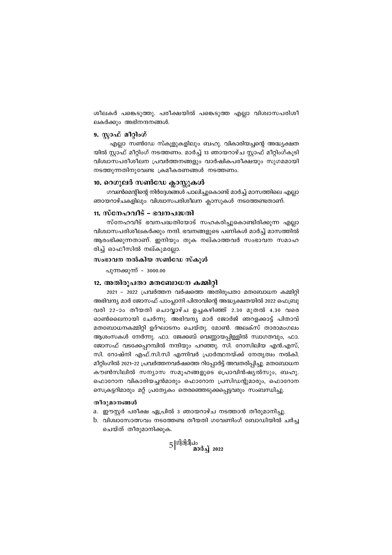ശീലകർ പങ്കെടുത്തു. പരീക്ഷയിൽ പങ്കെടുത്ത എല്ലാ വിശ്വാസപരിശീ ലകർക്കും അഭിനന്ദനങ്ങൾ.

## 9. സ്ലാഫ് മീറ്റിംഗ്

എല്ലാ സൺഡേ സ്കുളുകളിലും ബഹു. വികാരിയച്ചന്റെ അദ്ധ്യക്ഷത യിൽ സ്റ്റാഫ് മീറ്റിംഗ് നടത്തണം. മാർച്ച് 13 ഞായറാഴ്ച സ്റ്റാഫ് മീറ്റിംഗ്കൂടി വിശ്വാസപരീശീലന പ്രവർത്തനങ്ങളും വാർഷികപരീക്ഷയും സുഗമമായി നടത്തുന്നതിനുവേണ്ട ക്രമീകരണങ്ങൾ നടത്തണം.

# 10. റെഗുലർ സൺഡേ ക്ലാസ്റ്റുകൾ

ഗവൺമെന്റിന്റെ നിർദ്ദേശങ്ങൾ പാലിച്ചുകൊണ്ട് മാർച്ച് മാസത്തിലെ എല്ലാ ഞായറാഴ്ചകളിലും വിശ്വാസപരിശീലന ക്ലാസുകൾ നടത്തേണ്ടതാണ്.

# 11. സ്നേഹവീട് - ഭവനപദ്ധതി

സ്നേഹവീട് ഭവനപദ്ധതിയോട് സഹകരിച്ചുകൊണ്ടിരിക്കുന്ന എല്ലാ വിശ്വാസപരിശീലകർക്കും നന്ദി. ഭവനങ്ങളുടെ പണികൾ മാർച്ച് മാസത്തിൽ ആരംഭിക്കുന്നതാണ്. ഇനിയും തുക നല്കാത്തവർ സംഭാവന സമാഹ രിച്ച് ഓഫീസിൽ നല്കുമല്ലോ.

### സംഭാവന നൽകിയ സൺഡേ സ്കൂൾ

പുന്നക്കുന്ന് - 3000.00

#### 12. അതിരുപതാ മതബോധന കമ്മിറ്റി

2021 - 2022 പ്രവർത്തന വർഷത്തെ അതിരൂപതാ മതബോധന കമ്മിറ്റി അഭിവന്ദ്യ മാർ ജോസഫ് പാംപ്പാനി പിതാവിന്റെ അദ്ധ്യക്ഷതയിൽ 2022 ഫെബ്രു വരി 22-ാം തീയതി ചൊവ്വാഴ്ച ഉച്ചകഴിഞ്ഞ് 2.30 മുതൽ 4.30 വരെ ഓൺലൈനായി ചേർന്നു. അഭിവന്ദ്യ മാർ ജോർജ് ഞറളക്കാട്ട് പിതാവ് മതബോധനകമ്മിറ്റി ഉദ്ഘാടനം ചെയ്തു. മോൺ. അലക്സ് താരാമംഗലം ആശംസകൾ നേർന്നു. ഫാ. ജേക്കബ് വെണ്ണായപ്പിള്ളിൽ സ്വാഗതവും, ഫാ. ജോസഫ് വടക്കേപ്പറമ്പിൽ നന്ദിയും പറഞ്ഞു. സി. റോസിലിയ എൻ.എസ്, സി. റോഷ്നി എഫ്.സി.സി എന്നിവർ പ്രാർത്ഥനയ്ക്ക് നേതൃത്വം നൽകി. മീറ്റിംഗിൽ 2021–22 പ്രവർത്തനവർഷത്തെ റിപ്പോർട്ട് അവതരിപ്പിച്ചു. മതബോധന കൗൺസിലിൽ സന്യാസ സമൂഹങ്ങളുടെ പ്രൊവിൻഷ്യൽസും, ബഹു. ഫൊറോന വികാരിയച്ചൻമാരും ഫൊറോന പ്രസിഡന്റുമാരും, ഫൊറോന സെക്രട്ടറിമാരും മറ്റ് പ്രത്യേകം തെരഞ്ഞെടുക്കപ്പെട്ടവരും സംബന്ധിച്ചു.

#### തീരുമാനങ്ങൾ

- a. ഈസ്റ്റർ പരീക്ഷ ഏപ്രിൽ 3 ഞായറാഴ്ച നടത്താൻ തീരുമാനിച്ചു.
- b. വിശ്വാസോത്സവം നടത്തേണ്ട തീയതി ഗവേണിംഗ് ബോഡിയിൽ ചർച്ച ചെയ്ത് തീരുമാനിക്കുക.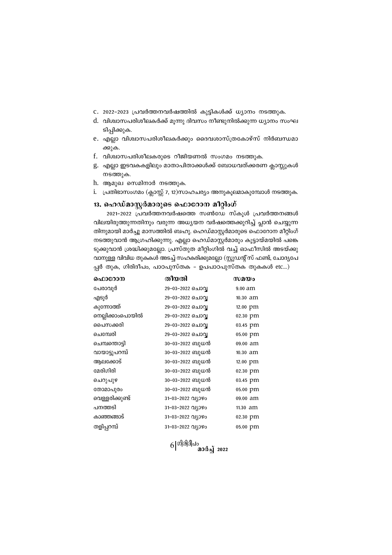$6|$ <sup>ഗിരിദീപം</sup> മാർച്ച് 2022

29-03-2022 ചൊവ്വ  $9.00$  am 29-03-2022 ചൊവ്വ 10.30 am 29-03-2022 ചൊവ്വ 29-03-2022 ചൊവ്വ പൈസക്കരി 29-03-2022 ചൊവ്വ 03.45 pm ചെമ്പേരി 29-03-2022 ചൊവ്വ 05.00 pm ചെമ്പന്തൊട്ടി 30-03-2022 ബുധൻ 09.00 am വായാട്ടുപറമ്പ് 30-03-2022 ബുധൻ 10.30 am ആലക്കോട് 30-03-2022 ബുധൻ 12.00 pm മേരിഗിരി 30-03-2022 ബുധൻ 02.30 pm ചെറുപുഴ 30-03-2022 ബുധൻ 03.45 pm തോമാപുരം 30-03-2022 ബുധൻ 05.00 pm വെള്ളരിക്കുണ്ട് 31-03-2022 വ്യാഴം 09.00 am പനത്തടി 31-03-2022 വ്യാഴം 11.30 am കാഞ്ഞങ്ങാട് 31-03-2022 വ്യാഴം 02.30 pm 31-03-2022 011090 തളിപ്പറമ്പ് 05.00 pm

നടത്തുവാൻ ആഗ്രഹിക്കുന്നു. എല്ലാ ഹെഡ്മാസ്റ്റർമാരും കൂട്ടായ്മയിൽ പങ്കെ ടുക്കുവാൻ ശ്രദ്ധിക്കുമല്ലോ. പ്രസ്തുത മീറ്റിംഗിൽ വച്ച് ഓഫീസിൽ അടയ്ക്കു വാനുള്ള വിവിധ തുകകൾ അടച്ച് സഹകരിക്കുമല്ലോ (സ്റ്റുഡന്റ് സ് ഫണ്ട്, ചോദ്യപേ പ്പർ തുക, ഗിരിദീപം, പാഠപുസ്തക - ഉപപാഠപുസ്തക തുകകൾ etc...) ഐറോന തീയതി  $\omega$ a $\omega$ പേരാവുർ എടുർ കുന്നോത്ത് 12.00 pm നെല്ലിക്കാംപൊയിൽ 02.30 pm

# 13. ഹെഡ്മാസ്റ്റർമാരുടെ ഫൊറോന മീറ്റിംഗ് 2021-2022 പ്രവർത്തനവർഷത്തെ സൺഡേ സ്കൂൾ പ്രവർത്തനങ്ങൾ

 $i$ . പ്രതിഭാസംഗമം (ക്ലാസ്സ് 7, 12)സാഹചര്യം അനുകൂലമാകുമ്പോൾ നടത്തുക.

വിലയിരുത്തുന്നതിനും വരുന്ന അധ്യയന വർഷത്തെക്കുറിച്ച് പ്ലാൻ ചെയ്യുന്ന തിനുമായി മാർച്ചു മാസത്തിൽ ബഹു. ഹെഡ്മാസ്റ്റർമാരുടെ ഫൊറോന മീറ്റിംഗ്

- h. ആമുഖ സെമിനാർ നടത്തുക.
- നടത്തുക.
- g. എല്ലാ ഇടവകകളിലും മാതാപിതാക്കൾക്ക് ബോധവത്ക്കരണ ക്ലാസ്സുകൾ
- f. വിശ്വാസപരിശീലകരുടെ റീജിയണൽ സംഗമം നടത്തുക.
- e. എല്ലാ വിശ്വാസപരിശീലകർക്കും ദൈവശാസ്ത്രകോഴ്സ് നിർബന്ധമാ ക്കുക.
- ടിപ്പിക്കുക.
- d. വിശ്വാസപരിശീലകർക്ക് മൂന്നു ദിവസം നീണ്ടുനിൽക്കുന്ന ധ്യാനം സംഘ
- c. 2022-2023 പ്രവർത്തനവർഷത്തിൽ കുട്ടികൾക്ക് ധ്യാനം നടത്തുക.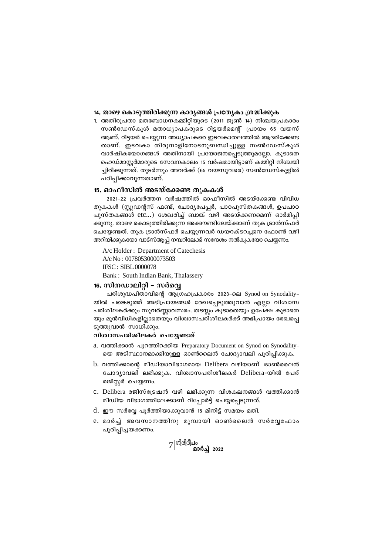#### 14. താഴെ കൊടുത്തിരിക്കുന്ന കാര്യങ്ങൾ പ്രത്യേകം ശ്രദ്ധിക്കുക

1. അതിരൂപതാ മതബോധനകമ്മിറ്റിയുടെ (2011 ജൂൺ 14) നിശ്ചയപ്രകാരം സൺഡേസ്കൂൾ മതാധ്യാപകരുടെ റിട്ടയർമെന്റ് പ്രായം 65 വയസ് ആണ്. റിട്ടയർ ചെയ്യുന്ന അധ്യാപകരെ ഇടവകാതലത്തിൽ ആദരിക്കേണ്ട താണ്. ഇടവകാ തിരുനാളിനോടനുബന്ധിച്ചുള്ള സൺഡേസ്കൂൾ വാർഷികയോഗങ്ങൾ അതിനായി പ്രയോജനപ്പെടുത്തുമല്ലോ. കൂടാതെ ഹെഡ്മാസ്റ്റർമാരുടെ സേവനകാലം 15 വർഷമായിട്ടാണ് കമ്മിറ്റി നിശ്ചയി ച്ചിരിക്കുന്നത്. തുടർന്നും അവർക്ക് (65 വയസുവരെ) സൺഡേസ്കുളിൽ പഠിപ്പിക്കാവുന്നതാണ്.

#### 15. ഓഫീസിൽ അടയ്ക്കേണ്ട തുകകൾ

2021-22 പ്രവർത്തന വർഷത്തിൽ ഓഫീസിൽ അടയ്ക്കേണ്ട വിവിധ തുകകൾ (സ്റ്റുഡന്റസ് ഫണ്ട്, ചോദ്യപേപ്പർ, പാഠപുസ്തകങ്ങൾ, ഉപപാഠ പുസ്തകങ്ങൾ etc...) ശേഖരിച്ച് ബാങ്ക് വഴി അടയ്ക്കണമെന്ന് ഓർമിപ്പി ക്കുന്നു. താഴെ കൊടുത്തിരിക്കുന്ന അക്കൗണ്ടിലേയ്ക്കാണ് തുക ട്രാൻസ്ഫർ ചെയ്യേണ്ടത്. തുക ട്രാൻസ്ഫർ ചെയ്യുന്നവർ ഡയറക്ടറച്ചനെ ഫോൺ വഴി അറിയിക്കുകയോ വാട്സ്ആപ്പ് നമ്പറിലേക്ക് സന്ദേശം നൽകുകയോ ചെയ്യണം.

A/c Holder: Department of Catechesis A/c No: 0078053000073503 **IFSC: SIBL 0000078** Bank: South Indian Bank, Thalassery

# 16. സിനഡാലിറ്റി – സർവ്വെ

പരിശുദ്ധപിതാവിന്റെ ആഗ്രഹപ്രകാരം 2023-ലെ Synod on Synodality-യിൽ പങ്കെടുത്ത് അഭിപ്രായങ്ങൾ രേഖപ്പെടുത്തുവാൻ എല്ലാ വിശ്വാസ പരിശീലകർക്കും സുവർണ്ണാവസരം. തടസ്സം കൂടാതെയും ഉപേക്ഷ കൂടാതെ യും മുൻവിധികളില്ലാതെയും വിശ്വാസപരിശീലകർക്ക് അഭിപ്രായം രേഖപ്പെ ടുത്തുവാൻ സാധിക്കും.

## വിശ്വാസപരിശീലകർ ചെയ്യേണ്ടത്

- a. വത്തിക്കാൻ പുറത്തിറക്കിയ Preparatory Document on Synod on Synodality-യെ അടിസ്ഥാനമാക്കിയുള്ള ഓൺലൈൻ ചോദ്യാവലി പൂരിപ്പിക്കുക.
- b. വത്തിക്കാന്റെ മീഡിയാവിഭാഗമായ Delibera വഴിയാണ് ഓൺലൈൻ ചോദ്യാവലി ലഭിക്കുക. വിശ്വാസപരിശീലകർ Delibera-യിൽ പേര് രജിസ്റ്റർ ചെയ്യണം.
- c. Delibera രജിസ്ട്രേഷൻ വഴി ലഭിക്കുന്ന വിശകലനങ്ങൾ വത്തിക്കാൻ മീഡിയ വിഭാഗത്തിലേക്കാണ് റിപ്പോർട്ട് ചെയ്യപ്പെടുന്നത്.
- d. ഈ സർവ്വേ പൂർത്തിയാക്കുവാൻ 15 മിനിട്ട് സമയം മതി.
- e. മാർച്ച് അവസാനത്തിനു മുമ്പായി ഓൺലൈൻ സർവ്വേഫോം പൂരിപിച്ചയക്കണം.